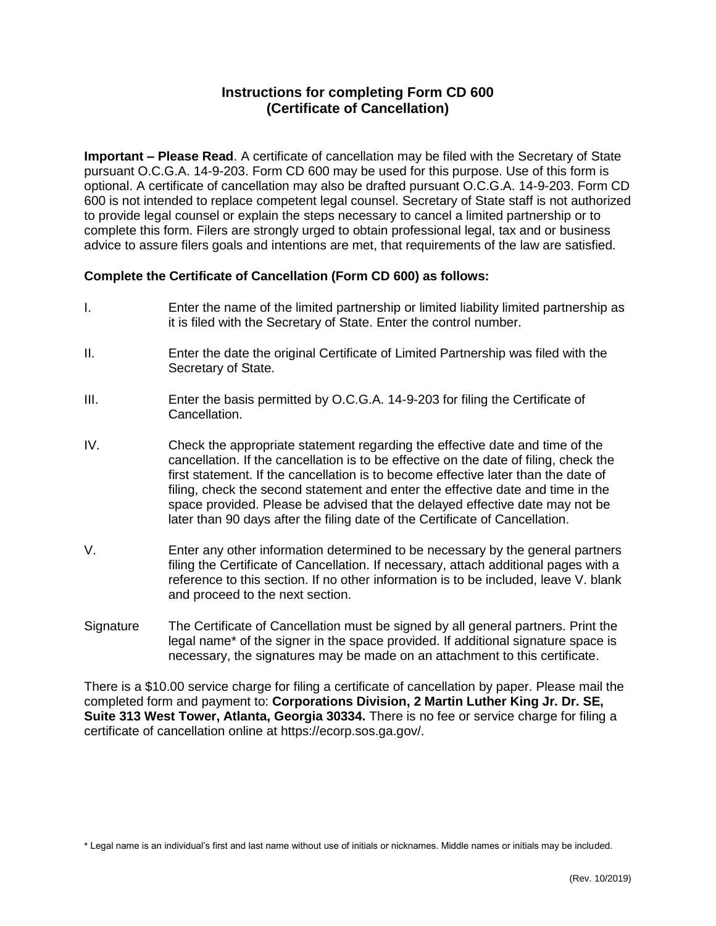## **Instructions for completing Form CD 600 (Certificate of Cancellation)**

**Important – Please Read**. A certificate of cancellation may be filed with the Secretary of State pursuant O.C.G.A. 14-9-203. Form CD 600 may be used for this purpose. Use of this form is optional. A certificate of cancellation may also be drafted pursuant O.C.G.A. 14-9-203. Form CD 600 is not intended to replace competent legal counsel. Secretary of State staff is not authorized to provide legal counsel or explain the steps necessary to cancel a limited partnership or to complete this form. Filers are strongly urged to obtain professional legal, tax and or business advice to assure filers goals and intentions are met, that requirements of the law are satisfied.

## **Complete the Certificate of Cancellation (Form CD 600) as follows:**

- I. Enter the name of the limited partnership or limited liability limited partnership as it is filed with the Secretary of State. Enter the control number.
- II. Enter the date the original Certificate of Limited Partnership was filed with the Secretary of State.
- III. Enter the basis permitted by O.C.G.A. 14-9-203 for filing the Certificate of Cancellation.
- IV. Check the appropriate statement regarding the effective date and time of the cancellation. If the cancellation is to be effective on the date of filing, check the first statement. If the cancellation is to become effective later than the date of filing, check the second statement and enter the effective date and time in the space provided. Please be advised that the delayed effective date may not be later than 90 days after the filing date of the Certificate of Cancellation.
- V. Enter any other information determined to be necessary by the general partners filing the Certificate of Cancellation. If necessary, attach additional pages with a reference to this section. If no other information is to be included, leave V. blank and proceed to the next section.
- Signature The Certificate of Cancellation must be signed by all general partners. Print the legal name\* of the signer in the space provided. If additional signature space is necessary, the signatures may be made on an attachment to this certificate.

There is a \$10.00 service charge for filing a certificate of cancellation by paper. Please mail the completed form and payment to: **Corporations Division, 2 Martin Luther King Jr. Dr. SE, Suite 313 West Tower, Atlanta, Georgia 30334.** There is no fee or service charge for filing a certificate of cancellation online at https://ecorp.sos.ga.gov/.

\* Legal name is an individual's first and last name without use of initials or nicknames. Middle names or initials may be included.